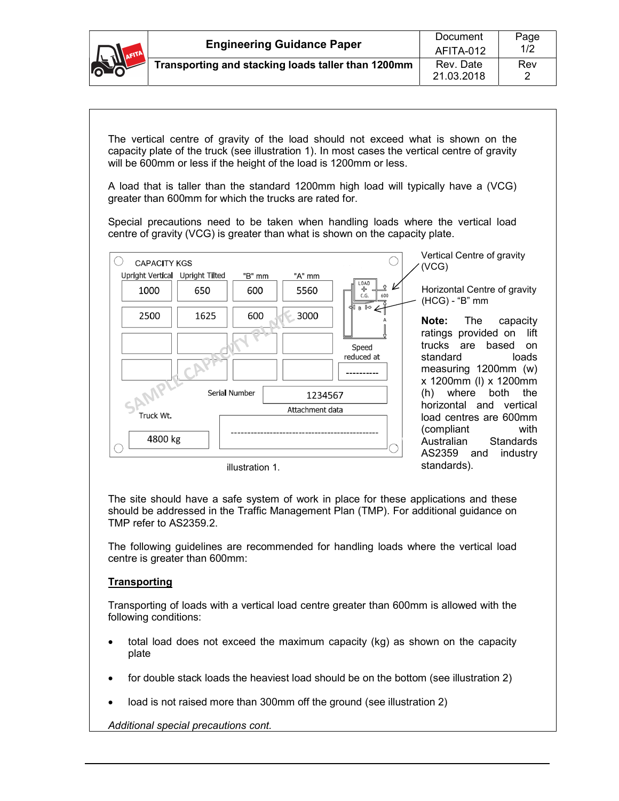

The vertical centre of gravity of the load should not exceed what is shown on the capacity plate of the truck (see illustration 1). In most cases the vertical centre of gravity will be 600mm or less if the height of the load is 1200mm or less.

A load that is taller than the standard 1200mm high load will typically have a (VCG) greater than 600mm for which the trucks are rated for.

Special precautions need to be taken when handling loads where the vertical load centre of gravity (VCG) is greater than what is shown on the capacity plate.



illustration 1.

The site should have a safe system of work in place for these applications and these should be addressed in the Traffic Management Plan (TMP). For additional guidance on TMP refer to AS2359.2.

The following guidelines are recommended for handling loads where the vertical load centre is greater than 600mm:

## **Transporting**

Transporting of loads with a vertical load centre greater than 600mm is allowed with the following conditions:

- total load does not exceed the maximum capacity (kg) as shown on the capacity plate
- for double stack loads the heaviest load should be on the bottom (see illustration 2)
- load is not raised more than 300mm off the ground (see illustration 2)

*Additional special precautions cont.*